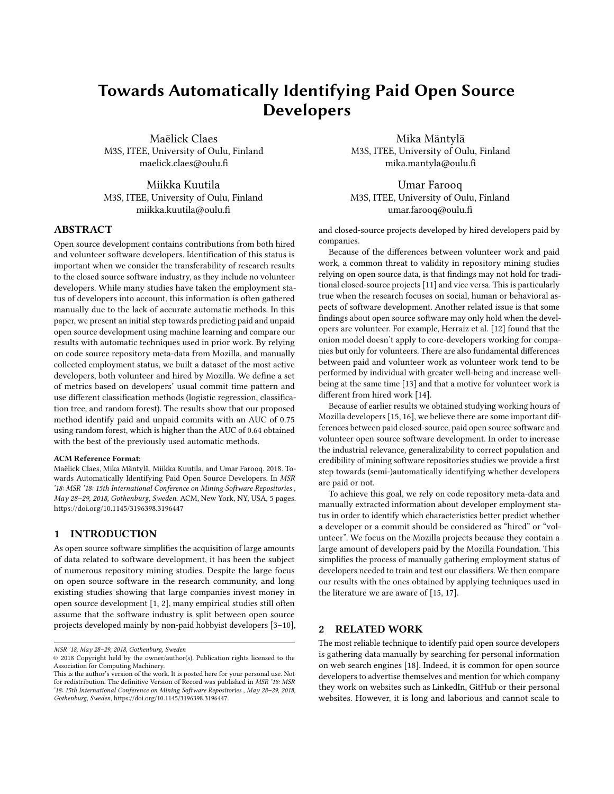# Towards Automatically Identifying Paid Open Source Developers

Maëlick Claes M3S, ITEE, University of Oulu, Finland maelick.claes@oulu.fi

Miikka Kuutila M3S, ITEE, University of Oulu, Finland miikka.kuutila@oulu.fi

# ABSTRACT

Open source development contains contributions from both hired and volunteer software developers. Identification of this status is important when we consider the transferability of research results to the closed source software industry, as they include no volunteer developers. While many studies have taken the employment status of developers into account, this information is often gathered manually due to the lack of accurate automatic methods. In this paper, we present an initial step towards predicting paid and unpaid open source development using machine learning and compare our results with automatic techniques used in prior work. By relying on code source repository meta-data from Mozilla, and manually collected employment status, we built a dataset of the most active developers, both volunteer and hired by Mozilla. We define a set of metrics based on developers' usual commit time pattern and use different classification methods (logistic regression, classification tree, and random forest). The results show that our proposed method identify paid and unpaid commits with an AUC of 0.75 using random forest, which is higher than the AUC of 0.64 obtained with the best of the previously used automatic methods.

#### ACM Reference Format:

Maëlick Claes, Mika Mäntylä, Miikka Kuutila, and Umar Farooq. 2018. Towards Automatically Identifying Paid Open Source Developers. In MSR '18: MSR '18: 15th International Conference on Mining Software Repositories , May 28–29, 2018, Gothenburg, Sweden. ACM, New York, NY, USA, [5](#page-4-0) pages. <https://doi.org/10.1145/3196398.3196447>

#### 1 INTRODUCTION

As open source software simplifies the acquisition of large amounts of data related to software development, it has been the subject of numerous repository mining studies. Despite the large focus on open source software in the research community, and long existing studies showing that large companies invest money in open source development [\[1,](#page-4-1) [2\]](#page-4-2), many empirical studies still often assume that the software industry is split between open source projects developed mainly by non-paid hobbyist developers [\[3–](#page-4-3)[10\]](#page-4-4),

Mika Mäntylä M3S, ITEE, University of Oulu, Finland mika.mantyla@oulu.fi

Umar Farooq M3S, ITEE, University of Oulu, Finland umar.farooq@oulu.fi

and closed-source projects developed by hired developers paid by companies.

Because of the differences between volunteer work and paid work, a common threat to validity in repository mining studies relying on open source data, is that findings may not hold for traditional closed-source projects [\[11\]](#page-4-5) and vice versa. This is particularly true when the research focuses on social, human or behavioral aspects of software development. Another related issue is that some findings about open source software may only hold when the developers are volunteer. For example, Herraiz et al. [\[12\]](#page-4-6) found that the onion model doesn't apply to core-developers working for companies but only for volunteers. There are also fundamental differences between paid and volunteer work as volunteer work tend to be performed by individual with greater well-being and increase wellbeing at the same time [\[13\]](#page-4-7) and that a motive for volunteer work is different from hired work [\[14\]](#page-4-8).

Because of earlier results we obtained studying working hours of Mozilla developers [\[15,](#page-4-9) [16\]](#page-4-10), we believe there are some important differences between paid closed-source, paid open source software and volunteer open source software development. In order to increase the industrial relevance, generalizability to correct population and credibility of mining software repositories studies we provide a first step towards (semi-)automatically identifying whether developers are paid or not.

To achieve this goal, we rely on code repository meta-data and manually extracted information about developer employment status in order to identify which characteristics better predict whether a developer or a commit should be considered as "hired" or "volunteer". We focus on the Mozilla projects because they contain a large amount of developers paid by the Mozilla Foundation. This simplifies the process of manually gathering employment status of developers needed to train and test our classifiers. We then compare our results with the ones obtained by applying techniques used in the literature we are aware of [\[15,](#page-4-9) [17\]](#page-4-11).

# 2 RELATED WORK

The most reliable technique to identify paid open source developers is gathering data manually by searching for personal information on web search engines [\[18\]](#page-4-12). Indeed, it is common for open source developers to advertise themselves and mention for which company they work on websites such as LinkedIn, GitHub or their personal websites. However, it is long and laborious and cannot scale to

MSR '18, May 28–29, 2018, Gothenburg, Sweden

<sup>©</sup> 2018 Copyright held by the owner/author(s). Publication rights licensed to the Association for Computing Machinery.

This is the author's version of the work. It is posted here for your personal use. Not for redistribution. The definitive Version of Record was published in MSR '18: MSR '18: 15th International Conference on Mining Software Repositories , May 28–29, 2018, Gothenburg, Sweden, [https://doi.org/10.1145/3196398.3196447.](https://doi.org/10.1145/3196398.3196447)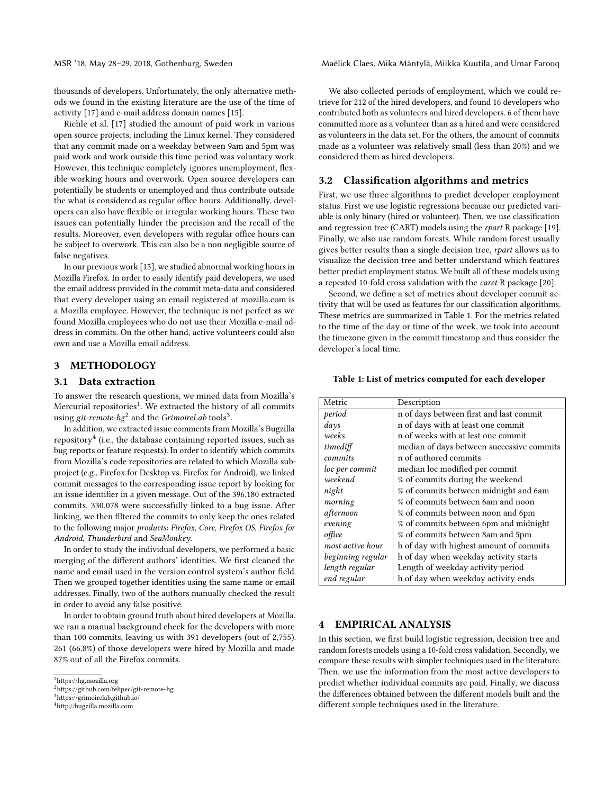MSR '18, May 28–29, 2018, Gothenburg, Sweden Maëlick Claes, Mika Mäntylä, Miikka Kuutila, and Umar Farooq

thousands of developers. Unfortunately, the only alternative methods we found in the existing literature are the use of the time of activity [\[17\]](#page-4-11) and e-mail address domain names [\[15\]](#page-4-9).

Riehle et al. [\[17\]](#page-4-11) studied the amount of paid work in various open source projects, including the Linux kernel. They considered that any commit made on a weekday between 9am and 5pm was paid work and work outside this time period was voluntary work. However, this technique completely ignores unemployment, flexible working hours and overwork. Open source developers can potentially be students or unemployed and thus contribute outside the what is considered as regular office hours. Additionally, developers can also have flexible or irregular working hours. These two issues can potentially hinder the precision and the recall of the results. Moreover, even developers with regular office hours can be subject to overwork. This can also be a non negligible source of false negatives.

In our previous work [\[15\]](#page-4-9), we studied abnormal working hours in Mozilla Firefox. In order to easily identify paid developers, we used the email address provided in the commit meta-data and considered that every developer using an email registered at mozilla.com is a Mozilla employee. However, the technique is not perfect as we found Mozilla employees who do not use their Mozilla e-mail address in commits. On the other hand, active volunteers could also own and use a Mozilla email address.

#### 3 METHODOLOGY

#### 3.1 Data extraction

To answer the research questions, we mined data from Mozilla's Mercurial repositories $^1$  $^1$ . We extracted the history of all commits using git-remote- $hg^2$  $hg^2$  and the GrimoireLab tools<sup>[3](#page-1-2)</sup>.

In addition, we extracted issue comments from Mozilla's Bugzilla repository $\rm ^4$  $\rm ^4$  (i.e., the database containing reported issues, such as bug reports or feature requests). In order to identify which commits from Mozilla's code repositories are related to which Mozilla subproject (e.g., Firefox for Desktop vs. Firefox for Android), we linked commit messages to the corresponding issue report by looking for an issue identifier in a given message. Out of the 396,180 extracted commits, 330,078 were successfully linked to a bug issue. After linking, we then filtered the commits to only keep the ones related to the following major products: Firefox, Core, Firefox OS, Firefox for Android, Thunderbird and SeaMonkey.

In order to study the individual developers, we performed a basic merging of the different authors' identities. We first cleaned the name and email used in the version control system's author field. Then we grouped together identities using the same name or email addresses. Finally, two of the authors manually checked the result in order to avoid any false positive.

In order to obtain ground truth about hired developers at Mozilla, we ran a manual background check for the developers with more than 100 commits, leaving us with 391 developers (out of 2,755). 261 (66.8%) of those developers were hired by Mozilla and made 87% out of all the Firefox commits.

We also collected periods of employment, which we could retrieve for 212 of the hired developers, and found 16 developers who contributed both as volunteers and hired developers. 6 of them have committed more as a volunteer than as a hired and were considered as volunteers in the data set. For the others, the amount of commits made as a volunteer was relatively small (less than 20%) and we considered them as hired developers.

#### 3.2 Classification algorithms and metrics

First, we use three algorithms to predict developer employment status. First we use logistic regressions because our predicted variable is only binary (hired or volunteer). Then, we use classification and regression tree (CART) models using the rpart R package [\[19\]](#page-4-13). Finally, we also use random forests. While random forest usually gives better results than a single decision tree, rpart allows us to visualize the decision tree and better understand which features better predict employment status. We built all of these models using a repeated 10-fold cross validation with the caret R package [\[20\]](#page-4-14).

Second, we define a set of metrics about developer commit activity that will be used as features for our classification algorithms. These metrics are summarized in Table [1.](#page-1-4) For the metrics related to the time of the day or time of the week, we took into account the timezone given in the commit timestamp and thus consider the developer's local time.

#### <span id="page-1-4"></span>Table 1: List of metrics computed for each developer

| Metric            | Description                               |
|-------------------|-------------------------------------------|
| period            | n of days between first and last commit   |
| days              | n of days with at least one commit        |
| weeks             | n of weeks with at lest one commit        |
| timediff          | median of days between successive commits |
| commits           | n of authored commits                     |
| loc per commit    | median loc modified per commit            |
| weekend           | % of commits during the weekend           |
| night             | % of commits between midnight and 6am     |
| morning           | % of commits between 6am and noon         |
| afternoon         | % of commits between noon and 6pm         |
| evening           | % of commits between 6pm and midnight     |
| office            | % of commits between 8am and 5pm          |
| most active hour  | h of day with highest amount of commits   |
| beginning regular | h of day when weekday activity starts     |
| length regular    | Length of weekday activity period         |
| end regular       | h of day when weekday activity ends       |

#### 4 EMPIRICAL ANALYSIS

In this section, we first build logistic regression, decision tree and random forests models using a 10-fold cross validation. Secondly, we compare these results with simpler techniques used in the literature. Then, we use the information from the most active developers to predict whether individual commits are paid. Finally, we discuss the differences obtained between the different models built and the different simple techniques used in the literature.

<span id="page-1-0"></span><sup>1</sup><https://hg.mozilla.org>

<span id="page-1-1"></span><sup>2</sup><https://github.com/felipec/git-remote-hg>

<span id="page-1-3"></span><span id="page-1-2"></span><sup>3</sup><https://grimoirelab.github.io/> <sup>4</sup><http://bugzilla.mozilla.com>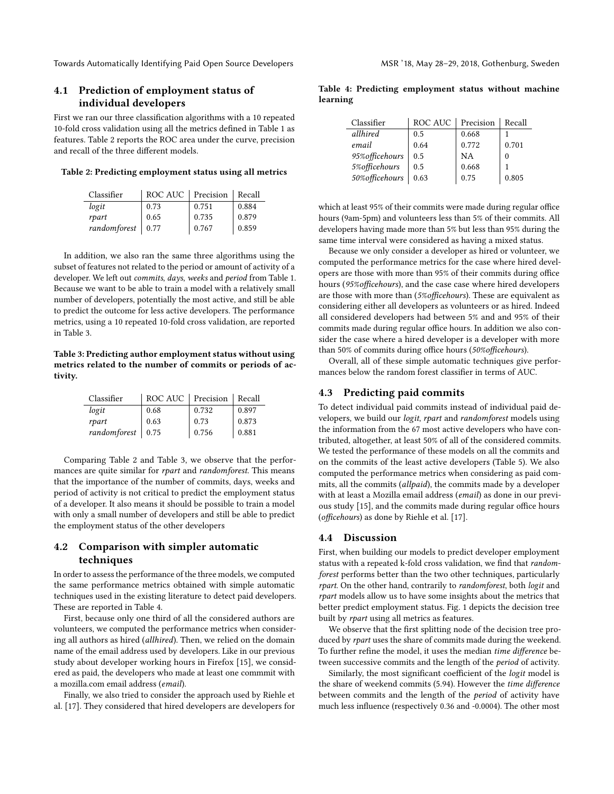Towards Automatically Identifying Paid Open Source Developers MSR '18, May 28-29, 2018, Gothenburg, Sweden

# 4.1 Prediction of employment status of individual developers

First we ran our three classification algorithms with a 10 repeated 10-fold cross validation using all the metrics defined in Table [1](#page-1-4) as features. Table [2](#page-2-0) reports the ROC area under the curve, precision and recall of the three different models.

<span id="page-2-0"></span>Table 2: Predicting employment status using all metrics

| Classifier   | ROC AUC | Precision   Recall |       |
|--------------|---------|--------------------|-------|
| logit        | 0.73    | 0.751              | 0.884 |
| rpart        | 0.65    | 0.735              | 0.879 |
| randomforest | 0.77    | 0.767              | 0.859 |

In addition, we also ran the same three algorithms using the subset of features not related to the period or amount of activity of a developer. We left out commits, days, weeks and period from Table [1.](#page-1-4) Because we want to be able to train a model with a relatively small number of developers, potentially the most active, and still be able to predict the outcome for less active developers. The performance metrics, using a 10 repeated 10-fold cross validation, are reported in Table [3.](#page-2-1)

<span id="page-2-1"></span>Table 3: Predicting author employment status without using metrics related to the number of commits or periods of activity.

| Classifier   | ROC AUC   Precision |       | Recall |
|--------------|---------------------|-------|--------|
| logit        | 0.68                | 0.732 | 0.897  |
| rpart        | 0.63                | 0.73  | 0.873  |
| randomforest | 0.75                | 0.756 | 0.881  |

Comparing Table [2](#page-2-0) and Table [3,](#page-2-1) we observe that the performances are quite similar for *rpart* and *randomforest*. This means that the importance of the number of commits, days, weeks and period of activity is not critical to predict the employment status of a developer. It also means it should be possible to train a model with only a small number of developers and still be able to predict the employment status of the other developers

#### 4.2 Comparison with simpler automatic techniques

In order to assess the performance of the three models, we computed the same performance metrics obtained with simple automatic techniques used in the existing literature to detect paid developers. These are reported in Table [4.](#page-2-2)

First, because only one third of all the considered authors are volunteers, we computed the performance metrics when considering all authors as hired (allhired). Then, we relied on the domain name of the email address used by developers. Like in our previous study about developer working hours in Firefox [\[15\]](#page-4-9), we considered as paid, the developers who made at least one commmit with a mozilla.com email address (email).

Finally, we also tried to consider the approach used by Riehle et al. [\[17\]](#page-4-11). They considered that hired developers are developers for

<span id="page-2-2"></span>Table 4: Predicting employment status without machine learning

| Classifier      | ROC AUC | Precision | Recall |
|-----------------|---------|-----------|--------|
| allhired        | 0.5     | 0.668     |        |
| email           | 0.64    | 0.772     | 0.701  |
| 95% officehours | 0.5     | NA.       |        |
| 5% officehours  | 0.5     | 0.668     |        |
| 50% officehours | 0.63    | 0.75      | 0.805  |

which at least 95% of their commits were made during regular office hours (9am-5pm) and volunteers less than 5% of their commits. All developers having made more than 5% but less than 95% during the same time interval were considered as having a mixed status.

Because we only consider a developer as hired or volunteer, we computed the performance metrics for the case where hired developers are those with more than 95% of their commits during office hours (95%officehours), and the case case where hired developers are those with more than (5%officehours). These are equivalent as considering either all developers as volunteers or as hired. Indeed all considered developers had between 5% and and 95% of their commits made during regular office hours. In addition we also consider the case where a hired developer is a developer with more than 50% of commits during office hours (50%officehours).

Overall, all of these simple automatic techniques give performances below the random forest classifier in terms of AUC.

# 4.3 Predicting paid commits

To detect individual paid commits instead of individual paid developers, we build our logit, rpart and randomforest models using the information from the 67 most active developers who have contributed, altogether, at least 50% of all of the considered commits. We tested the performance of these models on all the commits and on the commits of the least active developers (Table [5\)](#page-3-0). We also computed the performance metrics when considering as paid commits, all the commits (allpaid), the commits made by a developer with at least a Mozilla email address (email) as done in our previous study [\[15\]](#page-4-9), and the commits made during regular office hours (officehours) as done by Riehle et al. [\[17\]](#page-4-11).

#### 4.4 Discussion

First, when building our models to predict developer employment status with a repeated k-fold cross validation, we find that randomforest performs better than the two other techniques, particularly rpart. On the other hand, contrarily to randomforest, both logit and rpart models allow us to have some insights about the metrics that better predict employment status. Fig. [1](#page-3-1) depicts the decision tree built by rpart using all metrics as features.

We observe that the first splitting node of the decision tree produced by *rpart* uses the share of commits made during the weekend. To further refine the model, it uses the median time difference between successive commits and the length of the period of activity.

Similarly, the most significant coefficient of the *logit* model is the share of weekend commits (5.94). However the time difference between commits and the length of the period of activity have much less influence (respectively 0.36 and -0.0004). The other most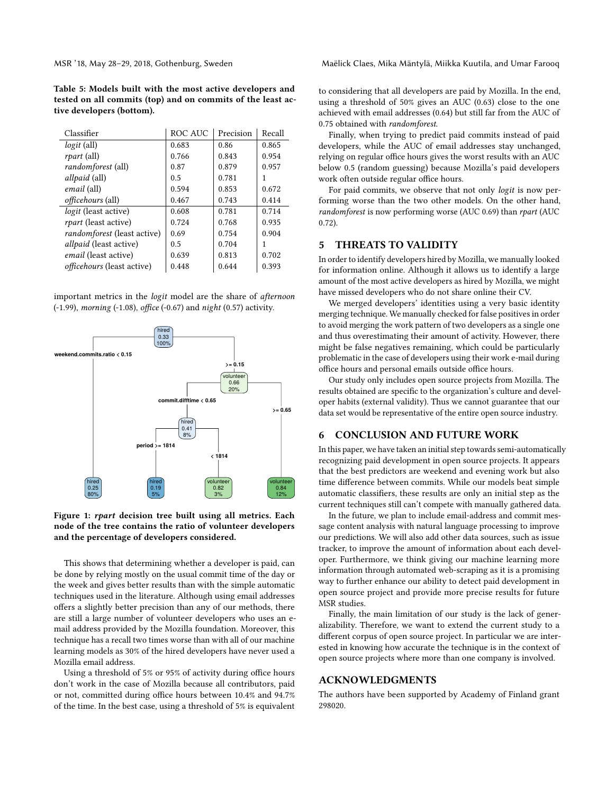<span id="page-3-0"></span>Table 5: Models built with the most active developers and tested on all commits (top) and on commits of the least active developers (bottom).

| Classifier                         | <b>ROC AUC</b> | Precision | Recall |
|------------------------------------|----------------|-----------|--------|
| <i>logit</i> (all)                 | 0.683          | 0.86      | 0.865  |
| rpart (all)                        | 0.766          | 0.843     | 0.954  |
| randomforest (all)                 | 0.87           | 0.879     | 0.957  |
| <i>allpaid</i> (all)               | 0.5            | 0.781     |        |
| email (all)                        | 0.594          | 0.853     | 0.672  |
| officehours (all)                  | 0.467          | 0.743     | 0.414  |
| <i>logit</i> (least active)        | 0.608          | 0.781     | 0.714  |
| <i>rpart</i> (least active)        | 0.724          | 0.768     | 0.935  |
| <i>randomforest</i> (least active) | 0.69           | 0.754     | 0.904  |
| <i>allpaid</i> (least active)      | 0.5            | 0.704     |        |
| email (least active)               | 0.639          | 0.813     | 0.702  |
| <i>officehours</i> (least active)  | 0.448          | 0.644     | 0.393  |

important metrics in the logit model are the share of afternoon (-1.99), morning (-1.08), office (-0.67) and night (0.57) activity.

<span id="page-3-1"></span>

Figure 1: rpart decision tree built using all metrics. Each node of the tree contains the ratio of volunteer developers and the percentage of developers considered.

This shows that determining whether a developer is paid, can be done by relying mostly on the usual commit time of the day or the week and gives better results than with the simple automatic techniques used in the literature. Although using email addresses offers a slightly better precision than any of our methods, there are still a large number of volunteer developers who uses an email address provided by the Mozilla foundation. Moreover, this technique has a recall two times worse than with all of our machine learning models as 30% of the hired developers have never used a Mozilla email address.

Using a threshold of 5% or 95% of activity during office hours don't work in the case of Mozilla because all contributors, paid or not, committed during office hours between 10.4% and 94.7% of the time. In the best case, using a threshold of 5% is equivalent to considering that all developers are paid by Mozilla. In the end, using a threshold of 50% gives an AUC (0.63) close to the one achieved with email addresses (0.64) but still far from the AUC of 0.75 obtained with randomforest.

Finally, when trying to predict paid commits instead of paid developers, while the AUC of email addresses stay unchanged, relying on regular office hours gives the worst results with an AUC below 0.5 (random guessing) because Mozilla's paid developers work often outside regular office hours.

For paid commits, we observe that not only *logit* is now performing worse than the two other models. On the other hand, randomforest is now performing worse (AUC 0.69) than rpart (AUC 0.72).

# 5 THREATS TO VALIDITY

In order to identify developers hired by Mozilla, we manually looked for information online. Although it allows us to identify a large amount of the most active developers as hired by Mozilla, we might have missed developers who do not share online their CV.

We merged developers' identities using a very basic identity merging technique. We manually checked for false positives in order to avoid merging the work pattern of two developers as a single one and thus overestimating their amount of activity. However, there might be false negatives remaining, which could be particularly problematic in the case of developers using their work e-mail during office hours and personal emails outside office hours.

Our study only includes open source projects from Mozilla. The results obtained are specific to the organization's culture and developer habits (external validity). Thus we cannot guarantee that our data set would be representative of the entire open source industry.

### 6 CONCLUSION AND FUTURE WORK

In this paper, we have taken an initial step towards semi-automatically recognizing paid development in open source projects. It appears that the best predictors are weekend and evening work but also time difference between commits. While our models beat simple automatic classifiers, these results are only an initial step as the current techniques still can't compete with manually gathered data.

In the future, we plan to include email-address and commit message content analysis with natural language processing to improve our predictions. We will also add other data sources, such as issue tracker, to improve the amount of information about each developer. Furthermore, we think giving our machine learning more information through automated web-scraping as it is a promising way to further enhance our ability to detect paid development in open source project and provide more precise results for future MSR studies.

Finally, the main limitation of our study is the lack of generalizability. Therefore, we want to extend the current study to a different corpus of open source project. In particular we are interested in knowing how accurate the technique is in the context of open source projects where more than one company is involved.

#### ACKNOWLEDGMENTS

The authors have been supported by Academy of Finland grant 298020.